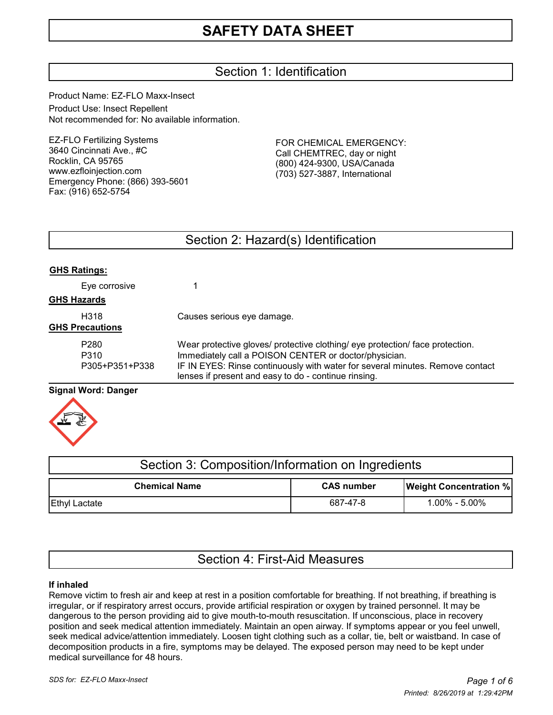# Section 1: Identification

Product Name: EZ-FLO Maxx-Insect Product Use: Insect Repellent Not recommended for: No available information.

EZ-FLO Fertilizing Systems 3640 Cincinnati Ave., #C Rocklin, CA 95765 www.ezfloinjection.com Emergency Phone: (866) 393-5601 Fax: (916) 652-5754

FOR CHEMICAL EMERGENCY: Call CHEMTREC, day or night (800) 424-9300, USA/Canada (703) 527-3887, International

# Section 2: Hazard(s) Identification

| <b>GHS Ratings:</b> |
|---------------------|
|---------------------|

| Eye corrosive                              |                                                                                                                                                                                                                                                                                 |
|--------------------------------------------|---------------------------------------------------------------------------------------------------------------------------------------------------------------------------------------------------------------------------------------------------------------------------------|
| <b>GHS Hazards</b>                         |                                                                                                                                                                                                                                                                                 |
| H318<br><b>GHS Precautions</b>             | Causes serious eye damage.                                                                                                                                                                                                                                                      |
| P <sub>280</sub><br>P310<br>P305+P351+P338 | Wear protective gloves/ protective clothing/ eye protection/ face protection.<br>Immediately call a POISON CENTER or doctor/physician.<br>IF IN EYES: Rinse continuously with water for several minutes. Remove contact<br>lenses if present and easy to do - continue rinsing. |

# **Signal Word: Danger**



| Section 3: Composition/Information on Ingredients |                   |                               |  |
|---------------------------------------------------|-------------------|-------------------------------|--|
| <b>Chemical Name</b>                              | <b>CAS number</b> | <b>Weight Concentration %</b> |  |
| <b>Ethyl Lactate</b>                              | 687-47-8          | $1.00\% - 5.00\%$             |  |

# Section 4: First-Aid Measures

## **If inhaled**

Remove victim to fresh air and keep at rest in a position comfortable for breathing. If not breathing, if breathing is irregular, or if respiratory arrest occurs, provide artificial respiration or oxygen by trained personnel. It may be dangerous to the person providing aid to give mouth-to-mouth resuscitation. If unconscious, place in recovery position and seek medical attention immediately. Maintain an open airway. If symptoms appear or you feel unwell, seek medical advice/attention immediately. Loosen tight clothing such as a collar, tie, belt or waistband. In case of decomposition products in a fire, symptoms may be delayed. The exposed person may need to be kept under medical surveillance for 48 hours.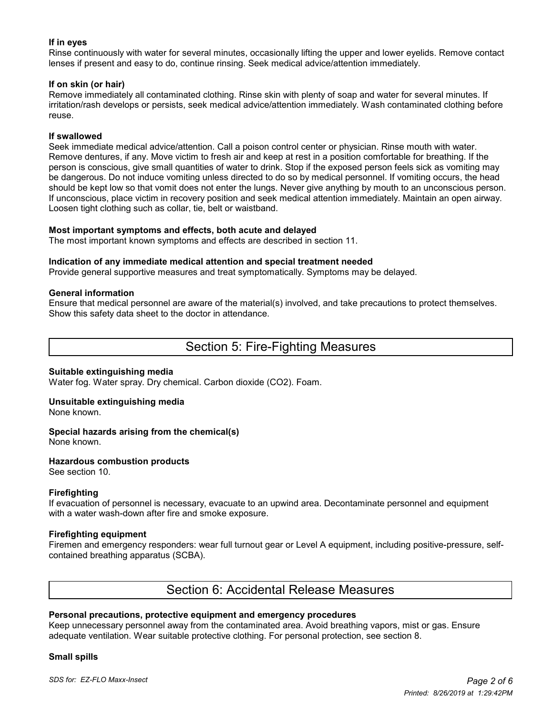## **If in eyes**

Rinse continuously with water for several minutes, occasionally lifting the upper and lower eyelids. Remove contact lenses if present and easy to do, continue rinsing. Seek medical advice/attention immediately.

## **If on skin (or hair)**

Remove immediately all contaminated clothing. Rinse skin with plenty of soap and water for several minutes. If irritation/rash develops or persists, seek medical advice/attention immediately. Wash contaminated clothing before reuse.

#### **If swallowed**

Seek immediate medical advice/attention. Call a poison control center or physician. Rinse mouth with water. Remove dentures, if any. Move victim to fresh air and keep at rest in a position comfortable for breathing. If the person is conscious, give small quantities of water to drink. Stop if the exposed person feels sick as vomiting may be dangerous. Do not induce vomiting unless directed to do so by medical personnel. If vomiting occurs, the head should be kept low so that vomit does not enter the lungs. Never give anything by mouth to an unconscious person. If unconscious, place victim in recovery position and seek medical attention immediately. Maintain an open airway. Loosen tight clothing such as collar, tie, belt or waistband.

#### **Most important symptoms and effects, both acute and delayed**

The most important known symptoms and effects are described in section 11.

#### **Indication of any immediate medical attention and special treatment needed**

Provide general supportive measures and treat symptomatically. Symptoms may be delayed.

#### **General information**

Ensure that medical personnel are aware of the material(s) involved, and take precautions to protect themselves. Show this safety data sheet to the doctor in attendance.

# Section 5: Fire-Fighting Measures

#### **Suitable extinguishing media**

Water fog. Water spray. Dry chemical. Carbon dioxide (CO2). Foam.

# **Unsuitable extinguishing media**

None known.

#### **Special hazards arising from the chemical(s)** None known.

# **Hazardous combustion products**

See section 10.

## **Firefighting**

If evacuation of personnel is necessary, evacuate to an upwind area. Decontaminate personnel and equipment with a water wash-down after fire and smoke exposure.

## **Firefighting equipment**

Firemen and emergency responders: wear full turnout gear or Level A equipment, including positive-pressure, selfcontained breathing apparatus (SCBA).

# Section 6: Accidental Release Measures

## **Personal precautions, protective equipment and emergency procedures**

Keep unnecessary personnel away from the contaminated area. Avoid breathing vapors, mist or gas. Ensure adequate ventilation. Wear suitable protective clothing. For personal protection, see section 8.

#### **Small spills**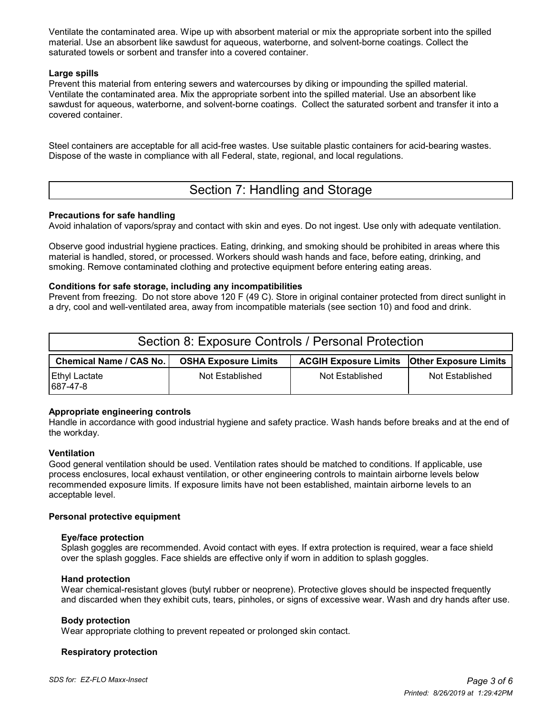Ventilate the contaminated area. Wipe up with absorbent material or mix the appropriate sorbent into the spilled material. Use an absorbent like sawdust for aqueous, waterborne, and solvent-borne coatings. Collect the saturated towels or sorbent and transfer into a covered container.

## **Large spills**

Prevent this material from entering sewers and watercourses by diking or impounding the spilled material. Ventilate the contaminated area. Mix the appropriate sorbent into the spilled material. Use an absorbent like sawdust for aqueous, waterborne, and solvent-borne coatings. Collect the saturated sorbent and transfer it into a covered container.

Steel containers are acceptable for all acid-free wastes. Use suitable plastic containers for acid-bearing wastes. Dispose of the waste in compliance with all Federal, state, regional, and local regulations.

# Section 7: Handling and Storage

## **Precautions for safe handling**

Avoid inhalation of vapors/spray and contact with skin and eyes. Do not ingest. Use only with adequate ventilation.

Observe good industrial hygiene practices. Eating, drinking, and smoking should be prohibited in areas where this material is handled, stored, or processed. Workers should wash hands and face, before eating, drinking, and smoking. Remove contaminated clothing and protective equipment before entering eating areas.

## **Conditions for safe storage, including any incompatibilities**

Prevent from freezing. Do not store above 120 F (49 C). Store in original container protected from direct sunlight in a dry, cool and well-ventilated area, away from incompatible materials (see section 10) and food and drink.

| Section 8: Exposure Controls / Personal Protection |                             |                                                      |                 |  |  |
|----------------------------------------------------|-----------------------------|------------------------------------------------------|-----------------|--|--|
| Chemical Name / CAS No.                            | <b>OSHA Exposure Limits</b> | <b>ACGIH Exposure Limits   Other Exposure Limits</b> |                 |  |  |
| <b>Ethyl Lactate</b><br>687-47-8                   | Not Established             | Not Established                                      | Not Established |  |  |

## **Appropriate engineering controls**

Handle in accordance with good industrial hygiene and safety practice. Wash hands before breaks and at the end of the workday.

## **Ventilation**

Good general ventilation should be used. Ventilation rates should be matched to conditions. If applicable, use process enclosures, local exhaust ventilation, or other engineering controls to maintain airborne levels below recommended exposure limits. If exposure limits have not been established, maintain airborne levels to an acceptable level.

## **Personal protective equipment**

## **Eye/face protection**

 Splash goggles are recommended. Avoid contact with eyes. If extra protection is required, wear a face shield over the splash goggles. Face shields are effective only if worn in addition to splash goggles.

## **Hand protection**

 Wear chemical-resistant gloves (butyl rubber or neoprene). Protective gloves should be inspected frequently and discarded when they exhibit cuts, tears, pinholes, or signs of excessive wear. Wash and dry hands after use.

## **Body protection**

Wear appropriate clothing to prevent repeated or prolonged skin contact.

## **Respiratory protection**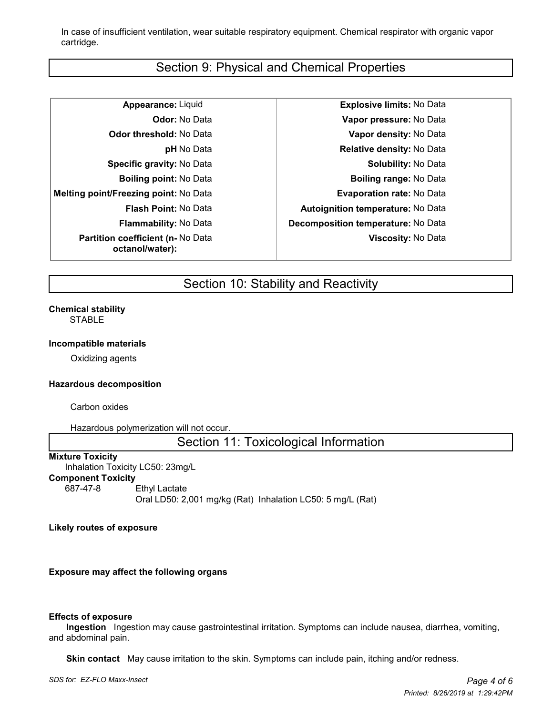In case of insufficient ventilation, wear suitable respiratory equipment. Chemical respirator with organic vapor cartridge.

# Section 9: Physical and Chemical Properties

| <b>Appearance: Liquid</b>                                   |
|-------------------------------------------------------------|
| <b>Odor:</b> No Data                                        |
| <b>Odor threshold: No Data</b>                              |
| <b>pH</b> No Data                                           |
| <b>Specific gravity: No Data</b>                            |
| <b>Boiling point:</b> No Data                               |
| Melting point/Freezing point: No Data                       |
| <b>Flash Point: No Data</b>                                 |
| <b>Flammability: No Data</b>                                |
| <b>Partition coefficient (n- No Data</b><br>octanol/water): |

**Appearance:** Liquid **Explosive limits:** No Data **Odor:** No Data **Vapor pressure:** No Data **Odor threshold:** No Data **Vapor density:** No Data **Relative density: No Data Solubility: No Data Boiling point:** No Data **Boiling range:** No Data **Evaporation rate: No Data Flash Point:** No Data **Autoignition temperature:** No Data **Flammability:** No Data **Decomposition temperature:** No Data **Viscosity:** No Data

# Section 10: Stability and Reactivity

# **Chemical stability**

STABLE

#### **Incompatible materials**

Oxidizing agents

## **Hazardous decomposition**

Carbon oxides

Hazardous polymerization will not occur.

Section 11: Toxicological Information

#### **Mixture Toxicity**

Inhalation Toxicity LC50: 23mg/L **Component Toxicity** 687-47-8 Ethyl Lactate

Oral LD50: 2,001 mg/kg (Rat) Inhalation LC50: 5 mg/L (Rat)

#### **Likely routes of exposure**

## **Exposure may affect the following organs**

#### **Effects of exposure**

 **Ingestion** Ingestion may cause gastrointestinal irritation. Symptoms can include nausea, diarrhea, vomiting, and abdominal pain.

 **Skin contact** May cause irritation to the skin. Symptoms can include pain, itching and/or redness.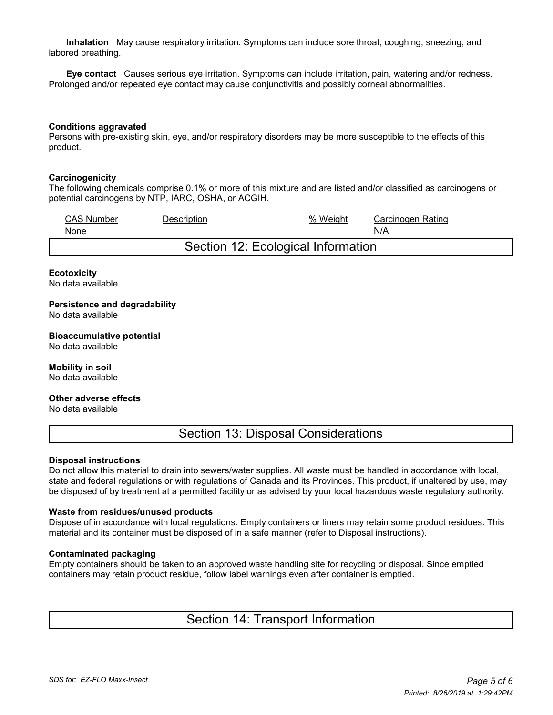**Inhalation** May cause respiratory irritation. Symptoms can include sore throat, coughing, sneezing, and labored breathing.

 **Eye contact** Causes serious eye irritation. Symptoms can include irritation, pain, watering and/or redness. Prolonged and/or repeated eye contact may cause conjunctivitis and possibly corneal abnormalities.

#### **Conditions aggravated**

Persons with pre-existing skin, eye, and/or respiratory disorders may be more susceptible to the effects of this product.

#### **Carcinogenicity**

The following chemicals comprise 0.1% or more of this mixture and are listed and/or classified as carcinogens or potential carcinogens by NTP, IARC, OSHA, or ACGIH.

| <b>CAS Number</b><br>None          | Description | % Weight | Carcinogen Rating<br>N/A |  |  |
|------------------------------------|-------------|----------|--------------------------|--|--|
| Section 12: Ecological Information |             |          |                          |  |  |

#### **Ecotoxicity**

No data available

**Persistence and degradability** No data available

**Bioaccumulative potential** No data available

**Mobility in soil** No data available

**Other adverse effects**

No data available

Section 13: Disposal Considerations

#### **Disposal instructions**

Do not allow this material to drain into sewers/water supplies. All waste must be handled in accordance with local, state and federal regulations or with regulations of Canada and its Provinces. This product, if unaltered by use, may be disposed of by treatment at a permitted facility or as advised by your local hazardous waste regulatory authority.

#### **Waste from residues/unused products**

Dispose of in accordance with local regulations. Empty containers or liners may retain some product residues. This material and its container must be disposed of in a safe manner (refer to Disposal instructions).

#### **Contaminated packaging**

Empty containers should be taken to an approved waste handling site for recycling or disposal. Since emptied containers may retain product residue, follow label warnings even after container is emptied.

Section 14: Transport Information